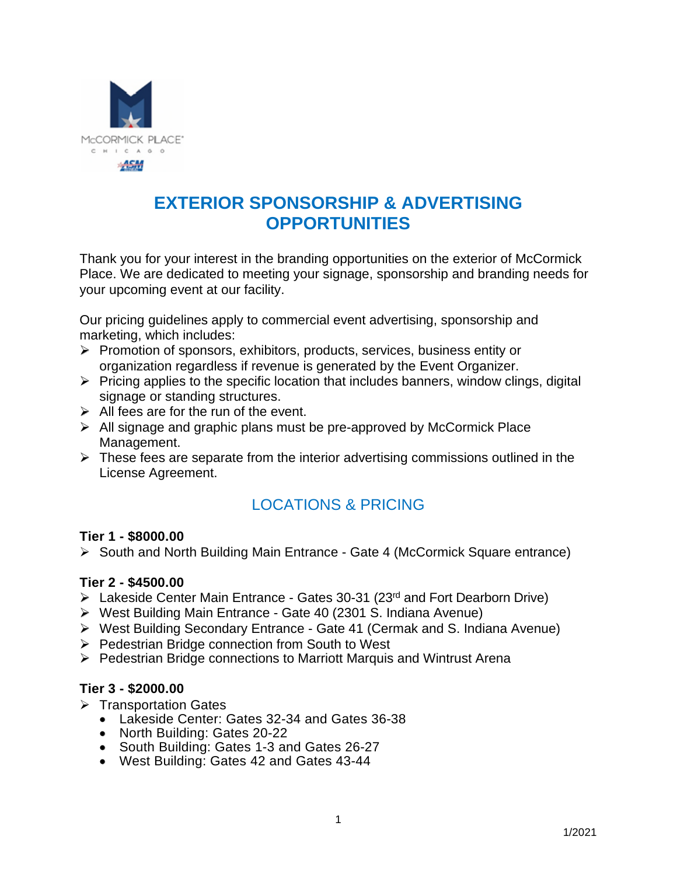

# **EXTERIOR SPONSORSHIP & ADVERTISING OPPORTUNITIES**

Thank you for your interest in the branding opportunities on the exterior of McCormick Place. We are dedicated to meeting your signage, sponsorship and branding needs for your upcoming event at our facility.

Our pricing guidelines apply to commercial event advertising, sponsorship and marketing, which includes:

- $\triangleright$  Promotion of sponsors, exhibitors, products, services, business entity or organization regardless if revenue is generated by the Event Organizer.
- $\triangleright$  Pricing applies to the specific location that includes banners, window clings, digital signage or standing structures.
- $\triangleright$  All fees are for the run of the event.
- $\triangleright$  All signage and graphic plans must be pre-approved by McCormick Place Management.
- $\triangleright$  These fees are separate from the interior advertising commissions outlined in the License Agreement.

## LOCATIONS & PRICING

#### **Tier 1 - \$8000.00**

South and North Building Main Entrance - Gate 4 (McCormick Square entrance)

#### **Tier 2 - \$4500.00**

- $\triangleright$  Lakeside Center Main Entrance Gates 30-31 (23<sup>rd</sup> and Fort Dearborn Drive)
- West Building Main Entrance Gate 40 (2301 S. Indiana Avenue)
- West Building Secondary Entrance Gate 41 (Cermak and S. Indiana Avenue)
- ▶ Pedestrian Bridge connection from South to West
- $\triangleright$  Pedestrian Bridge connections to Marriott Marquis and Wintrust Arena

#### **Tier 3 - \$2000.00**

- $\triangleright$  Transportation Gates
	- Lakeside Center: Gates 32-34 and Gates 36-38
	- North Building: Gates 20-22
	- South Building: Gates 1-3 and Gates 26-27
	- West Building: Gates 42 and Gates 43-44